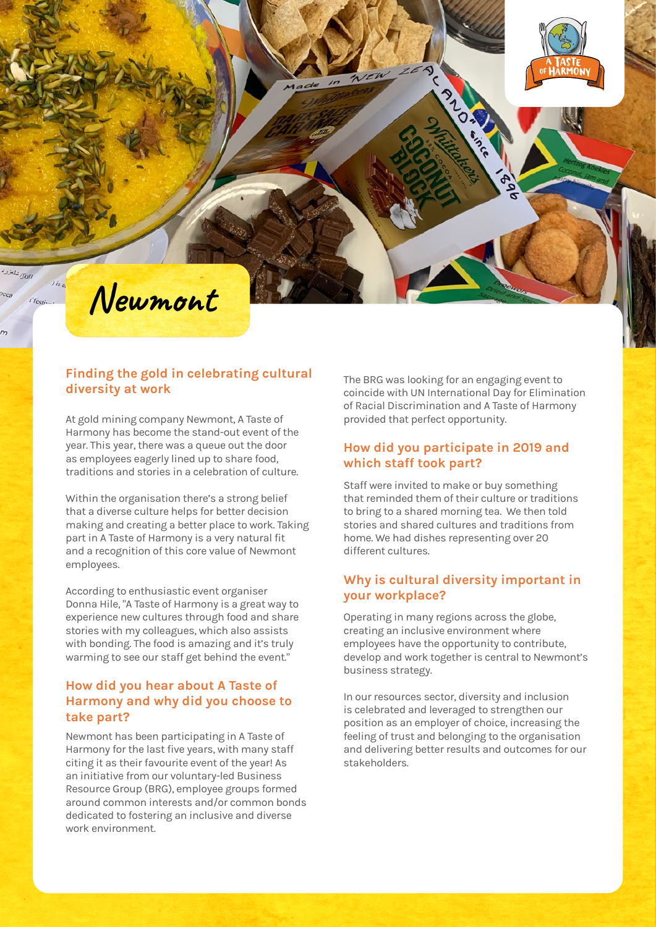



الماناكي شلتزرد

 $J$  is a

i festiva

### **Finding the gold in celebrating cultural diversity at work**

At gold mining company Newmont, A Taste of Harmony has become the stand-out event of the year. This year, there was a queue out the door as employees eagerly lined up to share food, traditions and stories in a celebration of culture.

Within the organisation there's a strong belief that a diverse culture helps for better decision making and creating a better place to work. Taking part in A Taste of Harmony is a very natural fit and a recognition of this core value of Newmont employees.

According to enthusiastic event organiser Donna Hile, "A Taste of Harmony is a great way to experience new cultures through food and share stories with my colleagues, which also assists with bonding. The food is amazing and it's truly warming to see our staff get behind the event."

## **How did you hear about A Taste of Harmony and why did you choose to take part?**

Newmont has been participating in A Taste of Harmony for the last five years, with many staff citing it as their favourite event of the year! As an initiative from our voluntary-led Business Resource Group (BRG), employee groups formed around common interests and/or common bonds dedicated to fostering an inclusive and diverse work environment.

The BRG was looking for an engaging event to coincide with UN International Day for Elimination of Racial Discrimination and A Taste of Harmony provided that perfect opportunity.

## **How did you participate in 2019 and which staff took part?**

Staff were invited to make or buy something that reminded them of their culture or traditions to bring to a shared morning tea. We then told stories and shared cultures and traditions from home. We had dishes representing over 20 different cultures.

## **Why is cultural diversity important in your workplace?**

Operating in many regions across the globe, creating an inclusive environment where employees have the opportunity to contribute, develop and work together is central to Newmont's business strategy.

In our resources sector, diversity and inclusion is celebrated and leveraged to strengthen our position as an employer of choice, increasing the feeling of trust and belonging to the organisation and delivering better results and outcomes for our stakeholders.